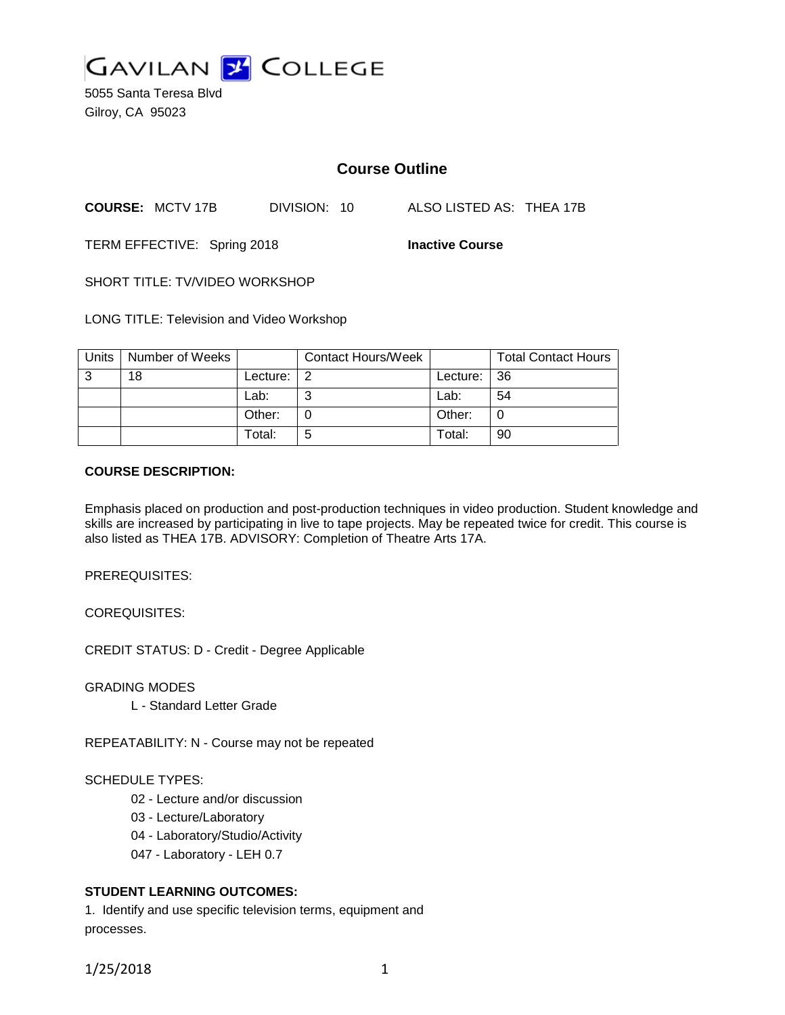

5055 Santa Teresa Blvd Gilroy, CA 95023

# **Course Outline**

**COURSE:** MCTV 17B DIVISION: 10 ALSO LISTED AS: THEA 17B

TERM EFFECTIVE: Spring 2018 **Inactive Course**

SHORT TITLE: TV/VIDEO WORKSHOP

LONG TITLE: Television and Video Workshop

| Units | Number of Weeks |          | <b>Contact Hours/Week</b> |            | <b>Total Contact Hours</b> |
|-------|-----------------|----------|---------------------------|------------|----------------------------|
| 3     | 18              | Lecture: | -2                        | Lecture: I | -36                        |
|       |                 | Lab:     |                           | Lab:       | 54                         |
|       |                 | Other:   |                           | Other:     |                            |
|       |                 | Total:   | b                         | Total:     | 90                         |

#### **COURSE DESCRIPTION:**

Emphasis placed on production and post-production techniques in video production. Student knowledge and skills are increased by participating in live to tape projects. May be repeated twice for credit. This course is also listed as THEA 17B. ADVISORY: Completion of Theatre Arts 17A.

PREREQUISITES:

COREQUISITES:

CREDIT STATUS: D - Credit - Degree Applicable

GRADING MODES

L - Standard Letter Grade

REPEATABILITY: N - Course may not be repeated

#### SCHEDULE TYPES:

- 02 Lecture and/or discussion
- 03 Lecture/Laboratory
- 04 Laboratory/Studio/Activity
- 047 Laboratory LEH 0.7

#### **STUDENT LEARNING OUTCOMES:**

1. Identify and use specific television terms, equipment and processes.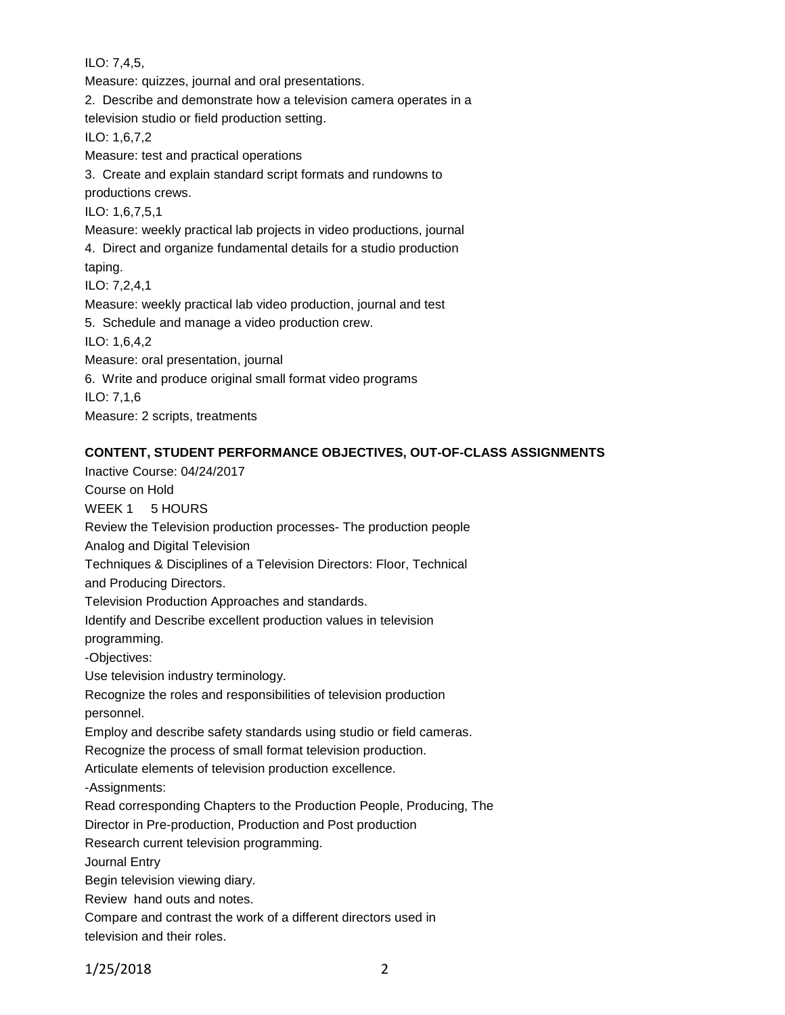ILO: 7,4,5,

Measure: quizzes, journal and oral presentations. 2. Describe and demonstrate how a television camera operates in a television studio or field production setting. ILO: 1,6,7,2 Measure: test and practical operations 3. Create and explain standard script formats and rundowns to productions crews. ILO: 1,6,7,5,1 Measure: weekly practical lab projects in video productions, journal 4. Direct and organize fundamental details for a studio production taping. ILO: 7,2,4,1 Measure: weekly practical lab video production, journal and test 5. Schedule and manage a video production crew. ILO: 1,6,4,2 Measure: oral presentation, journal 6. Write and produce original small format video programs ILO: 7,1,6 Measure: 2 scripts, treatments

# **CONTENT, STUDENT PERFORMANCE OBJECTIVES, OUT-OF-CLASS ASSIGNMENTS**

Inactive Course: 04/24/2017 Course on Hold WEEK 1 5 HOURS Review the Television production processes- The production people Analog and Digital Television Techniques & Disciplines of a Television Directors: Floor, Technical and Producing Directors. Television Production Approaches and standards. Identify and Describe excellent production values in television programming. -Objectives: Use television industry terminology. Recognize the roles and responsibilities of television production personnel. Employ and describe safety standards using studio or field cameras. Recognize the process of small format television production. Articulate elements of television production excellence. -Assignments: Read corresponding Chapters to the Production People, Producing, The Director in Pre-production, Production and Post production Research current television programming. Journal Entry Begin television viewing diary. Review hand outs and notes. Compare and contrast the work of a different directors used in television and their roles.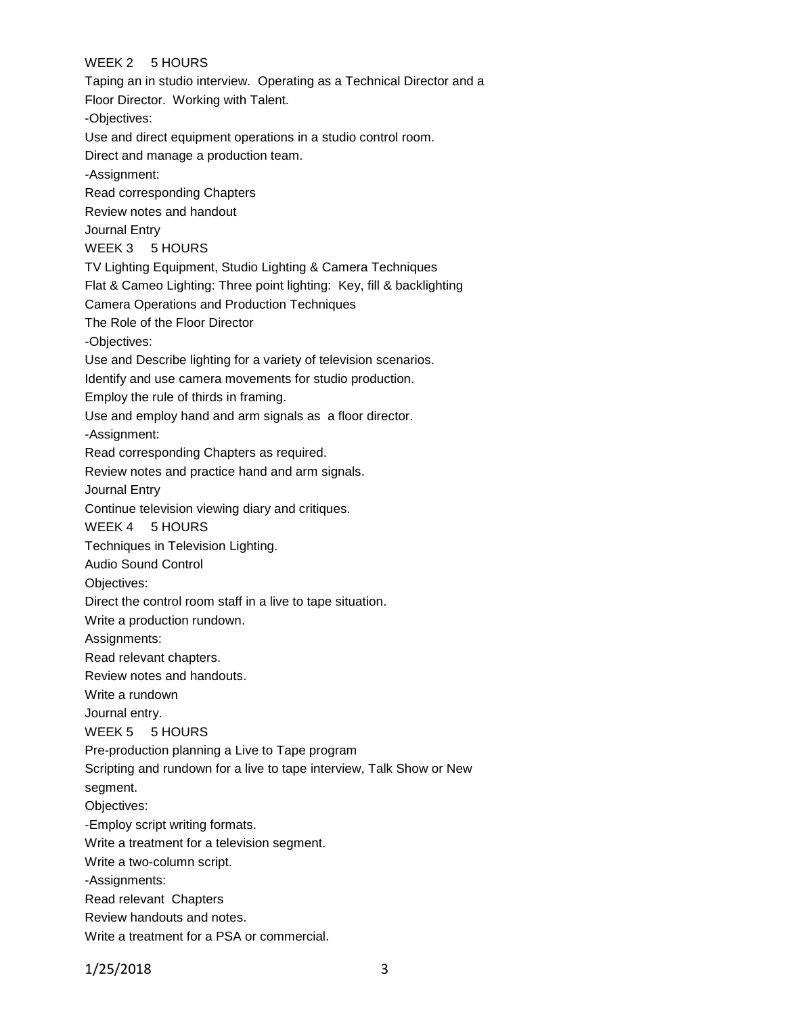# WEEK 2 5 HOURS

Taping an in studio interview. Operating as a Technical Director and a Floor Director. Working with Talent. -Objectives: Use and direct equipment operations in a studio control room. Direct and manage a production team. -Assignment: Read corresponding Chapters Review notes and handout Journal Entry WEEK 3 5 HOURS TV Lighting Equipment, Studio Lighting & Camera Techniques Flat & Cameo Lighting: Three point lighting: Key, fill & backlighting Camera Operations and Production Techniques The Role of the Floor Director -Objectives: Use and Describe lighting for a variety of television scenarios. Identify and use camera movements for studio production. Employ the rule of thirds in framing. Use and employ hand and arm signals as a floor director. -Assignment: Read corresponding Chapters as required. Review notes and practice hand and arm signals. Journal Entry Continue television viewing diary and critiques. WEEK 4 5 HOURS Techniques in Television Lighting. Audio Sound Control Objectives: Direct the control room staff in a live to tape situation. Write a production rundown. Assignments: Read relevant chapters. Review notes and handouts. Write a rundown Journal entry. WEEK 5 5 HOURS Pre-production planning a Live to Tape program Scripting and rundown for a live to tape interview, Talk Show or New segment. Objectives: -Employ script writing formats. Write a treatment for a television segment. Write a two-column script. -Assignments: Read relevant Chapters Review handouts and notes. Write a treatment for a PSA or commercial.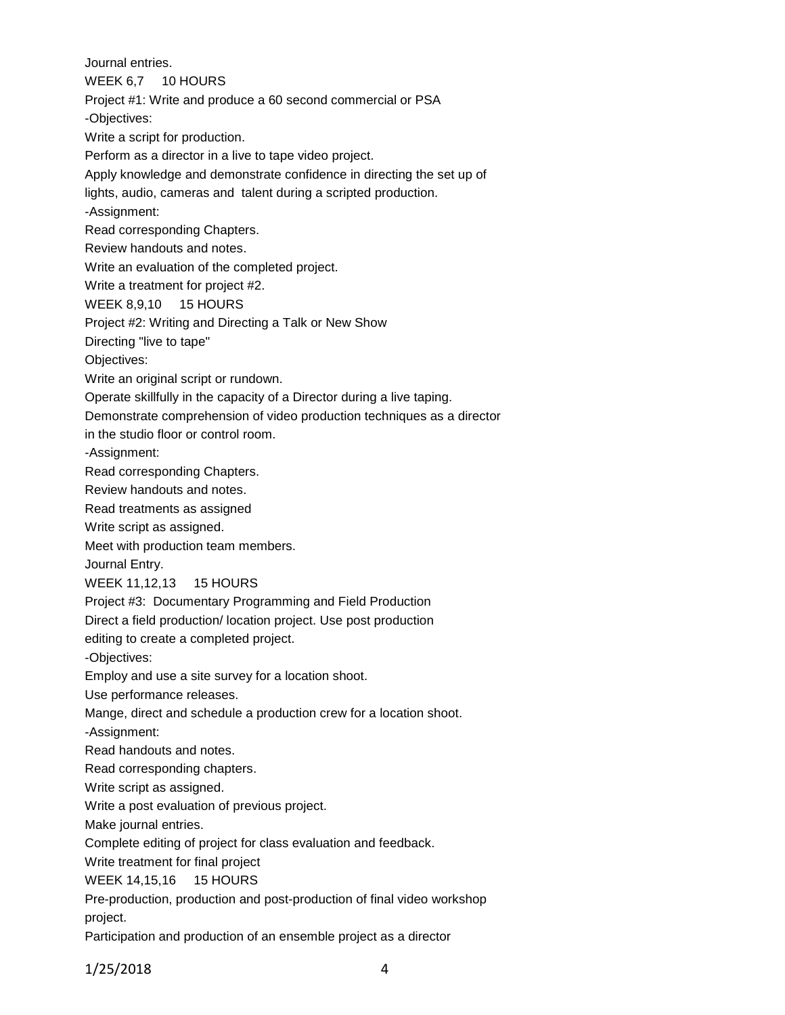Journal entries.

WEEK 6.7 10 HOURS

Project #1: Write and produce a 60 second commercial or PSA

-Objectives:

Write a script for production.

Perform as a director in a live to tape video project.

Apply knowledge and demonstrate confidence in directing the set up of

lights, audio, cameras and talent during a scripted production.

-Assignment:

Read corresponding Chapters.

Review handouts and notes.

Write an evaluation of the completed project.

Write a treatment for project #2.

WEEK 8,9,10 15 HOURS

Project #2: Writing and Directing a Talk or New Show

Directing "live to tape"

Objectives:

Write an original script or rundown.

Operate skillfully in the capacity of a Director during a live taping.

Demonstrate comprehension of video production techniques as a director

in the studio floor or control room.

-Assignment:

Read corresponding Chapters.

Review handouts and notes.

Read treatments as assigned

Write script as assigned.

Meet with production team members.

Journal Entry.

WEEK 11,12,13 15 HOURS

Project #3: Documentary Programming and Field Production

Direct a field production/ location project. Use post production

editing to create a completed project.

-Objectives:

Employ and use a site survey for a location shoot.

Use performance releases.

Mange, direct and schedule a production crew for a location shoot.

-Assignment:

Read handouts and notes.

Read corresponding chapters.

Write script as assigned.

Write a post evaluation of previous project.

Make journal entries.

Complete editing of project for class evaluation and feedback.

Write treatment for final project

WEEK 14,15,16 15 HOURS

Pre-production, production and post-production of final video workshop project.

Participation and production of an ensemble project as a director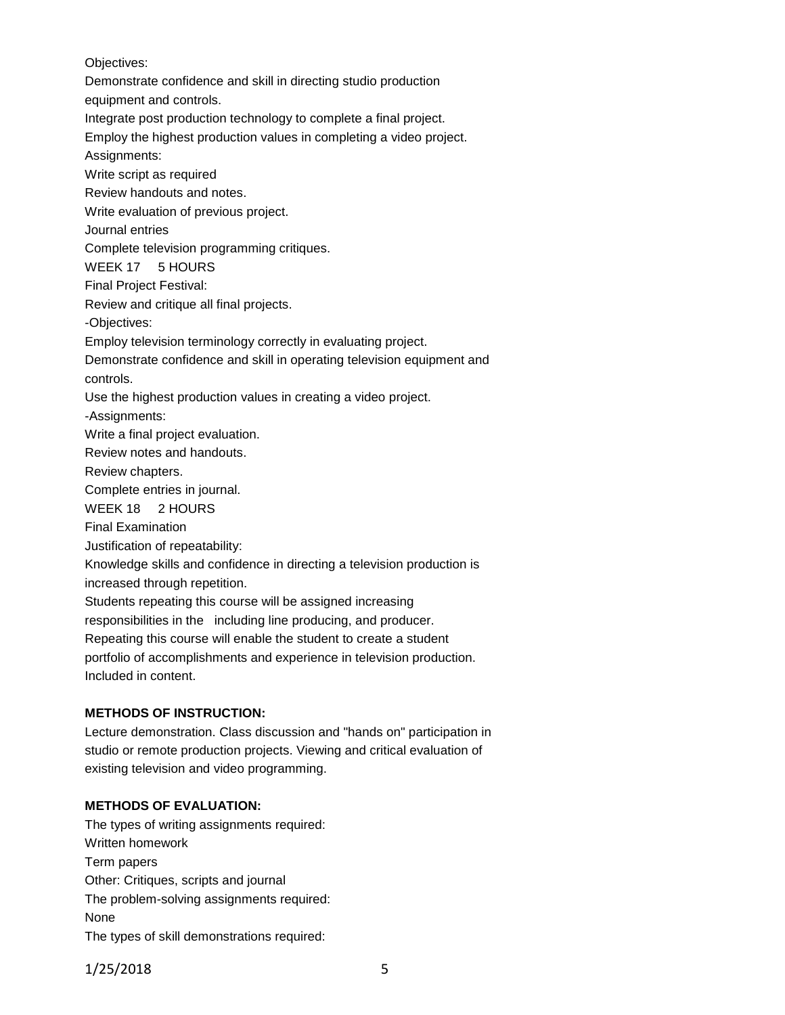Objectives:

Demonstrate confidence and skill in directing studio production

equipment and controls.

Integrate post production technology to complete a final project.

Employ the highest production values in completing a video project.

Assignments:

Write script as required Review handouts and notes.

Write evaluation of previous project.

Journal entries

Complete television programming critiques.

WEEK 17 5 HOURS

Final Project Festival:

Review and critique all final projects.

-Objectives:

Employ television terminology correctly in evaluating project.

Demonstrate confidence and skill in operating television equipment and controls.

Use the highest production values in creating a video project.

-Assignments:

Write a final project evaluation.

Review notes and handouts.

Review chapters.

Complete entries in journal.

WEEK 18 2 HOURS

Final Examination

Justification of repeatability:

Knowledge skills and confidence in directing a television production is increased through repetition.

Students repeating this course will be assigned increasing responsibilities in the including line producing, and producer. Repeating this course will enable the student to create a student portfolio of accomplishments and experience in television production.

Included in content.

## **METHODS OF INSTRUCTION:**

Lecture demonstration. Class discussion and "hands on" participation in studio or remote production projects. Viewing and critical evaluation of existing television and video programming.

#### **METHODS OF EVALUATION:**

The types of writing assignments required: Written homework Term papers Other: Critiques, scripts and journal The problem-solving assignments required: None The types of skill demonstrations required: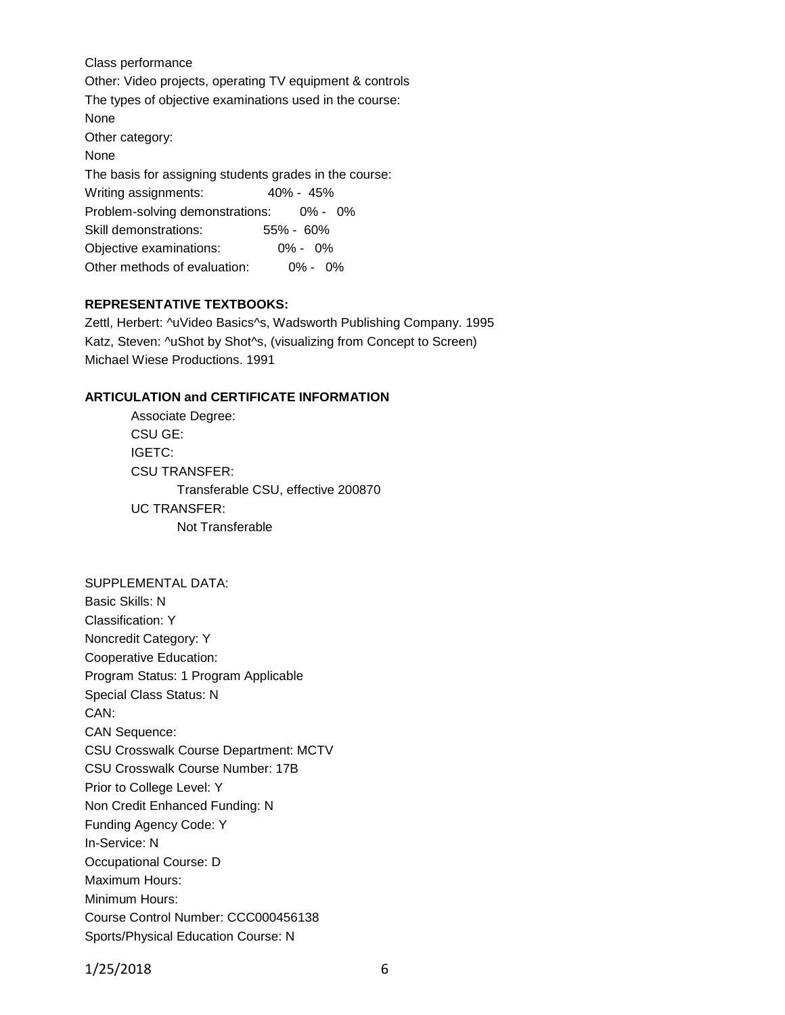Class performance Other: Video projects, operating TV equipment & controls The types of objective examinations used in the course: None Other category: None The basis for assigning students grades in the course: Writing assignments: 40% - 45% Problem-solving demonstrations: 0% - 0% Skill demonstrations: 55% - 60% Objective examinations: 0% - 0% Other methods of evaluation: 0% - 0%

# **REPRESENTATIVE TEXTBOOKS:**

Zettl, Herbert: ^uVideo Basics^s, Wadsworth Publishing Company. 1995 Katz, Steven: ^uShot by Shot^s, (visualizing from Concept to Screen) Michael Wiese Productions. 1991

## **ARTICULATION and CERTIFICATE INFORMATION**

Associate Degree: CSU GE: IGETC: CSU TRANSFER: Transferable CSU, effective 200870 UC TRANSFER: Not Transferable

#### SUPPLEMENTAL DATA:

Basic Skills: N Classification: Y Noncredit Category: Y Cooperative Education: Program Status: 1 Program Applicable Special Class Status: N CAN: CAN Sequence: CSU Crosswalk Course Department: MCTV CSU Crosswalk Course Number: 17B Prior to College Level: Y Non Credit Enhanced Funding: N Funding Agency Code: Y In-Service: N Occupational Course: D Maximum Hours: Minimum Hours: Course Control Number: CCC000456138 Sports/Physical Education Course: N